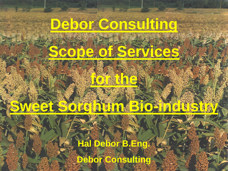

**Sweet Sorghum Bio-industry**

# **Hal Debor B.Eng.**

**Debor Consulting**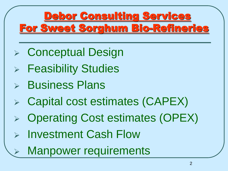- Conceptual Design
- Feasibility Studies
- Business Plans
- Capital cost estimates (CAPEX)
- Operating Cost estimates (OPEX)
- Investment Cash Flow
	- Manpower requirements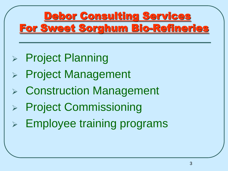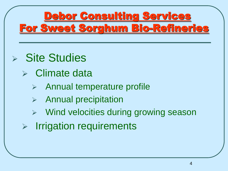- $\triangleright$  Site Studies
	- $\triangleright$  Climate data
		- Annual temperature profile
		- $\triangleright$  Annual precipitation
		- Wind velocities during growing season
	- $\triangleright$  Irrigation requirements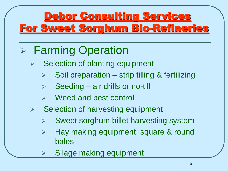# **▶ Farming Operation**

- Selection of planting equipment
	- Soil preparation strip tilling & fertilizing
	- $\triangleright$  Seeding air drills or no-till
	- Weed and pest control
- $\triangleright$  Selection of harvesting equipment
	- Sweet sorghum billet harvesting system
	- > Hay making equipment, square & round bales
	- Silage making equipment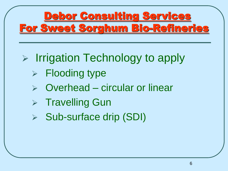- $\triangleright$  Irrigation Technology to apply
	- $\triangleright$  Flooding type
	- Overhead circular or linear
	- $\triangleright$  Travelling Gun
	- Sub-surface drip (SDI)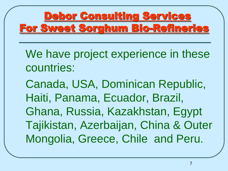We have project experience in these countries:

Canada, USA, Dominican Republic, Haiti, Panama, Ecuador, Brazil, Ghana, Russia, Kazakhstan, Egypt Tajikistan, Azerbaijan, China & Outer Mongolia, Greece, Chile and Peru.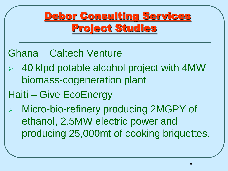#### Ghana – Caltech Venture

- 40 klpd potable alcohol project with 4MW biomass-cogeneration plant
- Haiti Give EcoEnergy

 Micro-bio-refinery producing 2MGPY of ethanol, 2.5MW electric power and producing 25,000mt of cooking briquettes.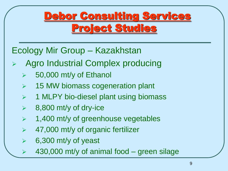#### Ecology Mir Group – Kazakhstan

- Agro Industrial Complex producing
	- $\geq$  50,000 mt/y of Ethanol
	- **▶ 15 MW biomass cogeneration plant**
	- $\triangleright$  1 MLPY bio-diesel plant using biomass
	- $\geq$  8,800 mt/y of dry-ice
	- $\geq$  1,400 mt/y of greenhouse vegetables
	- 47,000 mt/y of organic fertilizer
	- 6,300 mt/y of yeast
	- 430,000 mt/y of animal food green silage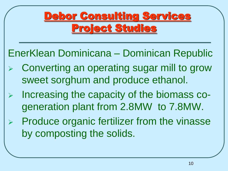EnerKlean Dominicana – Dominican Republic

- Converting an operating sugar mill to grow sweet sorghum and produce ethanol.
- $\triangleright$  Increasing the capacity of the biomass cogeneration plant from 2.8MW to 7.8MW.
- $\triangleright$  Produce organic fertilizer from the vinasse by composting the solids.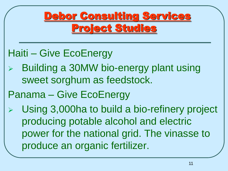#### Haiti – Give EcoEnergy

 Building a 30MW bio-energy plant using sweet sorghum as feedstock.

#### Panama – Give EcoEnergy

 Using 3,000ha to build a bio-refinery project producing potable alcohol and electric power for the national grid. The vinasse to produce an organic fertilizer.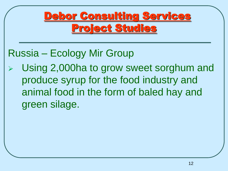#### Russia – Ecology Mir Group

 Using 2,000ha to grow sweet sorghum and produce syrup for the food industry and animal food in the form of baled hay and green silage.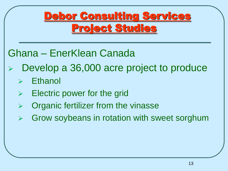Ghana – EnerKlean Canada

- Develop a 36,000 acre project to produce
	- Ethanol
	- Electric power for the grid
	- Organic fertilizer from the vinasse
	- Grow soybeans in rotation with sweet sorghum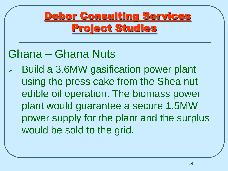# Ghana – Ghana Nuts

 Build a 3.6MW gasification power plant using the press cake from the Shea nut edible oil operation. The biomass power plant would guarantee a secure 1.5MW power supply for the plant and the surplus would be sold to the grid.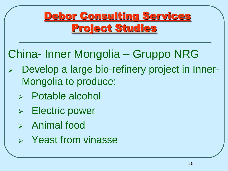# China- Inner Mongolia – Gruppo NRG

- Develop a large bio-refinery project in Inner-Mongolia to produce:
	- Potable alcohol
	- Electric power
	- $\triangleright$  Animal food
	- $\triangleright$  Yeast from vinasse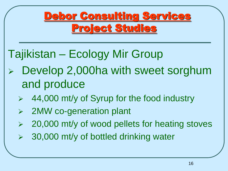# Tajikistan – Ecology Mir Group

- Develop 2,000ha with sweet sorghum and produce
	- 44,000 mt/y of Syrup for the food industry
	- 2MW co-generation plant
	- $\geq$  20,000 mt/y of wood pellets for heating stoves
	- 30,000 mt/y of bottled drinking water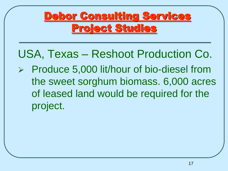USA, Texas – Reshoot Production Co.

 $\triangleright$  Produce 5,000 lit/hour of bio-diesel from the sweet sorghum biomass. 6,000 acres of leased land would be required for the project.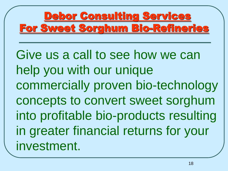Give us a call to see how we can help you with our unique commercially proven bio-technology concepts to convert sweet sorghum into profitable bio-products resulting in greater financial returns for your investment.